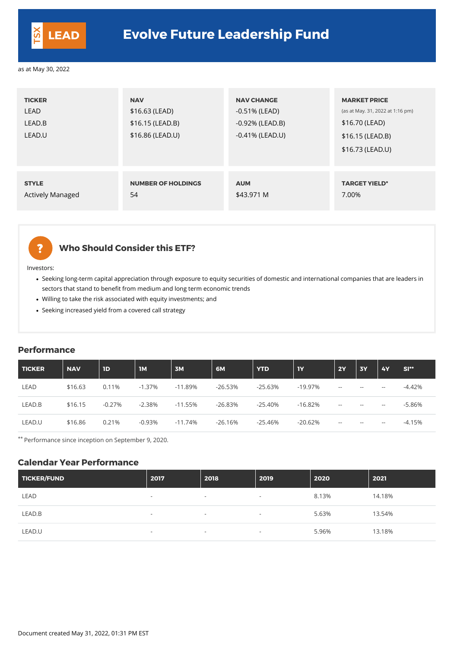| <b>TICKER</b><br><b>LEAD</b><br>LEAD.B<br>LEAD.U | <b>NAV</b><br>$$16.63$ (LEAD)<br>$$16.15$ (LEAD.B)<br>\$16.86 (LEAD.U) | <b>NAV CHANGE</b><br>$-0.51\%$ (LEAD)<br>$-0.92\%$ (LEAD.B)<br>$-0.41\%$ (LEAD.U) | <b>MARKET PRICE</b><br>(as at May. 31, 2022 at 1:16 pm)<br>\$16.70 (LEAD)<br>$$16.15$ (LEAD.B)<br>\$16.73 (LEAD.U) |
|--------------------------------------------------|------------------------------------------------------------------------|-----------------------------------------------------------------------------------|--------------------------------------------------------------------------------------------------------------------|
| <b>STYLE</b>                                     | <b>NUMBER OF HOLDINGS</b>                                              | <b>AUM</b>                                                                        | <b>TARGET YIELD*</b>                                                                                               |
| <b>Actively Managed</b>                          | 54                                                                     | \$43.971 M                                                                        | 7.00%                                                                                                              |



### **Who Should Consider this ETF?**

Investors:

- Seeking long-term capital appreciation through exposure to equity securities of domestic and international companies that are leaders in sectors that stand to benefit from medium and long term economic trends
- Willing to take the risk associated with equity investments; and
- Seeking increased yield from a covered call strategy

#### **Performance**

| TICKER      | <b>NAV</b> | 1D       | <b>IM</b> | 3M        | 6M        | <b>YTD</b> | 1Y         | <b>2Y</b>                | <b>3Y</b>                | <b>4Y</b> | $SI**$    |
|-------------|------------|----------|-----------|-----------|-----------|------------|------------|--------------------------|--------------------------|-----------|-----------|
| <b>LEAD</b> | \$16.63    | 0.11%    | $-1.37\%$ | $-11.89%$ | $-26.53%$ | $-25.63%$  | $-19.97\%$ | $\sim$ $\sim$            | $\overline{\phantom{m}}$ | $- -$     | $-4.42\%$ |
| LEAD.B      | \$16.15    | $-0.27%$ | $-2.38%$  | $-11.55%$ | $-26.83%$ | -25.40%    | $-16.82%$  | $\overline{\phantom{m}}$ | $- -$                    | $- -$     | $-5.86%$  |
| LEAD.U      | \$16.86    | 0.21%    | $-0.93%$  | $-11.74%$ | $-26.16%$ | $-25.46%$  | $-20.62%$  | $--$                     | $\overline{\phantom{m}}$ | $- -$     | $-4.15%$  |

\*\* Performance since inception on September 9, 2020.

#### **Calendar Year Performance**

| TICKER/FUND | 2017   | 2018                     | 2019                     | 2020  | 2021   |
|-------------|--------|--------------------------|--------------------------|-------|--------|
| <b>LEAD</b> | $-$    | $\overline{\phantom{a}}$ | $\overline{\phantom{0}}$ | 8.13% | 14.18% |
| LEAD.B      | $\sim$ | $\overline{\phantom{0}}$ | $\overline{a}$           | 5.63% | 13.54% |
| LEAD.U      | $\sim$ | $\overline{\phantom{a}}$ | $\overline{\phantom{0}}$ | 5.96% | 13.18% |



## **LEAD Evolve Future Leadership Fund**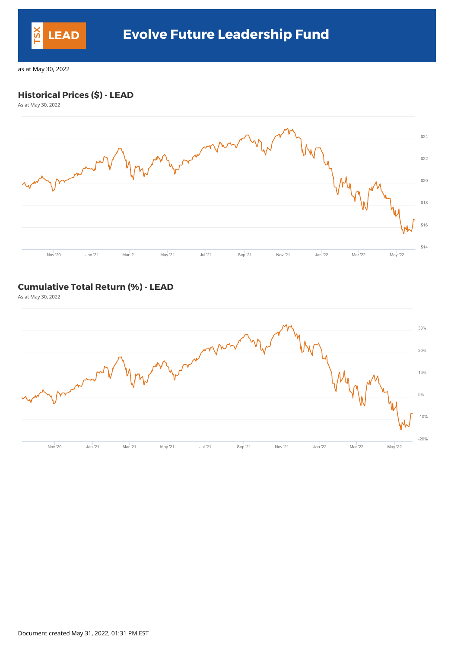#### **Historical Prices (\$) - LEAD**

As at May 30, 2022



#### **Cumulative Total Return (%) - LEAD**

As at May 30, 2022



Document created May 31, 2022, 01:31 PM EST



# **LEAD Evolve Future Leadership Fund**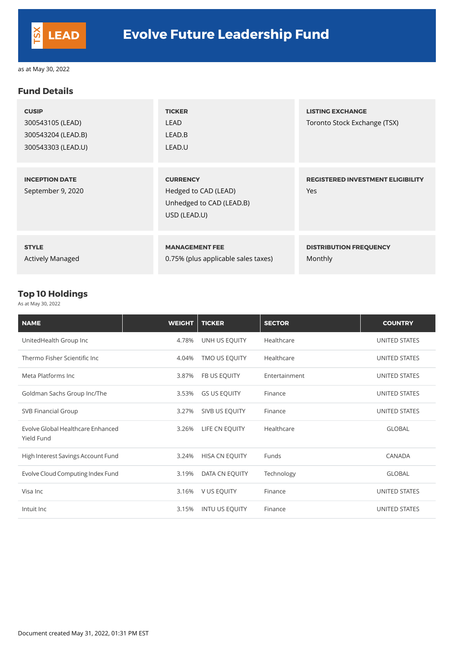#### **Fund Details**

| <b>CUSIP</b><br>300543105 (LEAD)<br>300543204 (LEAD.B)<br>300543303 (LEAD.U) | <b>TICKER</b><br>LEAD<br>LEAD.B<br>LEAD.U                                           | <b>LISTING EXCHANGE</b><br>Toronto Stock Exchange (TSX) |
|------------------------------------------------------------------------------|-------------------------------------------------------------------------------------|---------------------------------------------------------|
| <b>INCEPTION DATE</b><br>September 9, 2020                                   | <b>CURRENCY</b><br>Hedged to CAD (LEAD)<br>Unhedged to CAD (LEAD.B)<br>USD (LEAD.U) | <b>REGISTERED INVESTMENT ELIGIBILITY</b><br>Yes         |
| <b>STYLE</b><br><b>Actively Managed</b>                                      | <b>MANAGEMENT FEE</b><br>0.75% (plus applicable sales taxes)                        | <b>DISTRIBUTION FREQUENCY</b><br>Monthly                |

### **Top 10 Holdings**

As at May 30, 2022

| <b>NAME</b>                                     | <b>WEIGHT</b> | <b>TICKER</b>       | <b>SECTOR</b> | <b>COUNTRY</b>       |
|-------------------------------------------------|---------------|---------------------|---------------|----------------------|
| UnitedHealth Group Inc                          | 4.78%         | UNH US EQUITY       | Healthcare    | UNITED STATES        |
| Thermo Fisher Scientific Inc                    | 4.04%         | TMO US EQUITY       | Healthcare    | <b>UNITED STATES</b> |
| Meta Platforms Inc.                             | 3.87%         | FB US EQUITY        | Entertainment | UNITED STATES        |
| Goldman Sachs Group Inc/The                     | 3.53%         | <b>GS US EQUITY</b> | Finance       | <b>UNITED STATES</b> |
| <b>SVB Financial Group</b>                      | 3.27%         | SIVB US EQUITY      | Finance       | UNITED STATES        |
| Evolve Global Healthcare Enhanced<br>Yield Fund | 3.26%         | LIFE CN EQUITY      | Healthcare    | <b>GLOBAL</b>        |

| High Interest Savings Account Fund | 3.24% | <b>HISA CN EQUITY</b> | Funds      | <b>CANADA</b> |
|------------------------------------|-------|-----------------------|------------|---------------|
| Evolve Cloud Computing Index Fund  | 3.19% | DATA CN EQUITY        | Technology | <b>GLOBAL</b> |
| Visa Inc                           |       | 3.16% V US EQUITY     | Finance    | UNITED STATES |
| Intuit Inc                         | 3.15% | <b>INTU US EQUITY</b> | Finance    | UNITED STATES |

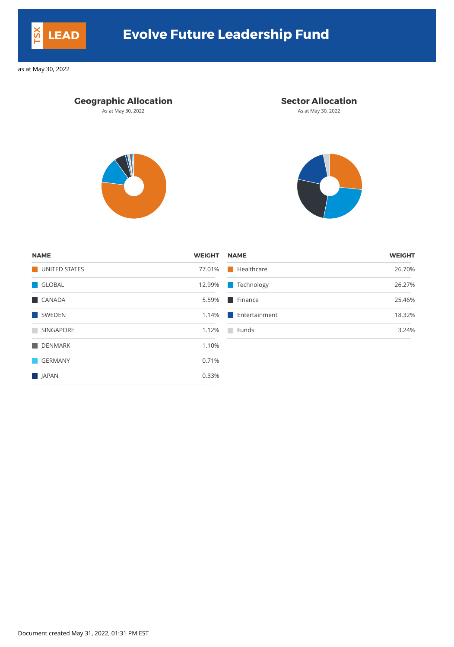### **Geographic Allocation Sector Allocation**

As at May 30, 2022 **As at May 30, 2022** As at May 30, 2022





| ME               | WEIGHT | <b>NAME</b>               | WEIGHT |
|------------------|--------|---------------------------|--------|
| UNITED STATES    | 77.01% | $\blacksquare$ Healthcare | 26.70% |
| <b>GLOBAL</b>    | 12.99% | <b>Technology</b>         | 26.27% |
| <b>CANADA</b>    | 5.59%  | $\blacksquare$ Finance    | 25.46% |
| <b>SWEDEN</b>    | 1.14%  | <b>Entertainment</b>      | 18.32% |
| <b>SINGAPORE</b> | 1.12%  | Funds                     | 3.24%  |

| <b>NAME</b>   | <b>WEIGHT</b> | <b>NAME</b>            | <b>WEIGHT</b> |
|---------------|---------------|------------------------|---------------|
| UNITED STATES | 77.01%        | <b>Healthcare</b>      | 26.70%        |
| <b>GLOBAL</b> | 12.99%        | Technology<br>a a s    | 26.27%        |
| <b>CANADA</b> | 5.59%         | $\blacksquare$ Finance | 25.46%        |
| SWEDEN        | 1.14%         | Entertainment          | 18.32%        |
| SINGAPORE     | 1.12%         | Funds                  | 3.24%         |
| DENMARK       | 1.10%         |                        |               |
| GERMANY       | 0.71%         |                        |               |
| <b>JAPAN</b>  | 0.33%         |                        |               |

Document created May 31, 2022, 01:31 PM EST



# **LEAD Evolve Future Leadership Fund**